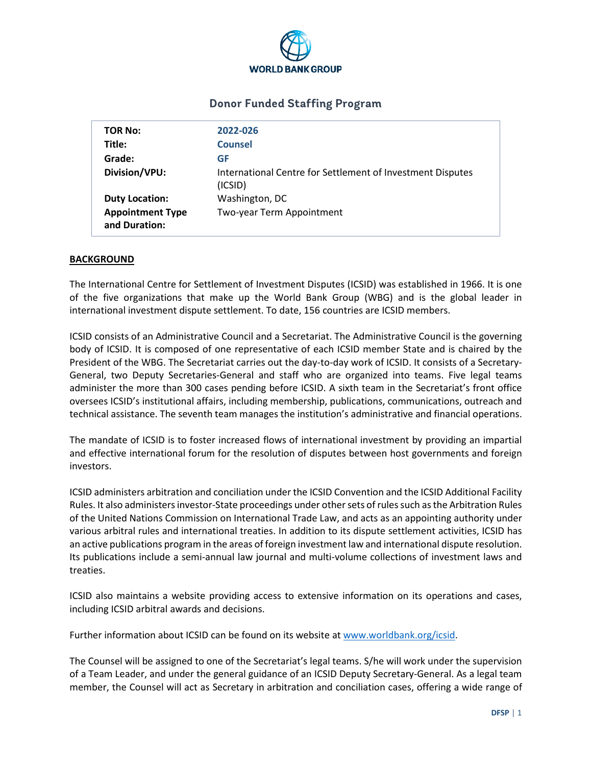

# **Donor Funded Staffing Program**

| TOR No:                                  | 2022-026                                                              |
|------------------------------------------|-----------------------------------------------------------------------|
| Title:                                   | <b>Counsel</b>                                                        |
| Grade:                                   | GF                                                                    |
| Division/VPU:                            | International Centre for Settlement of Investment Disputes<br>(ICSID) |
| <b>Duty Location:</b>                    | Washington, DC                                                        |
| <b>Appointment Type</b><br>and Duration: | Two-year Term Appointment                                             |

### **BACKGROUND**

The International Centre for Settlement of Investment Disputes (ICSID) was established in 1966. It is one of the five organizations that make up the World Bank Group (WBG) and is the global leader in international investment dispute settlement. To date, 156 countries are ICSID members.

ICSID consists of an Administrative Council and a Secretariat. The Administrative Council is the governing body of ICSID. It is composed of one representative of each ICSID member State and is chaired by the President of the WBG. The Secretariat carries out the day-to-day work of ICSID. It consists of a Secretary-General, two Deputy Secretaries-General and staff who are organized into teams. Five legal teams administer the more than 300 cases pending before ICSID. A sixth team in the Secretariat's front office oversees ICSID's institutional affairs, including membership, publications, communications, outreach and technical assistance. The seventh team manages the institution's administrative and financial operations.

The mandate of ICSID is to foster increased flows of international investment by providing an impartial and effective international forum for the resolution of disputes between host governments and foreign investors.

ICSID administers arbitration and conciliation under the ICSID Convention and the ICSID Additional Facility Rules. It also administers investor-State proceedings under other sets of rules such as the Arbitration Rules of the United Nations Commission on International Trade Law, and acts as an appointing authority under various arbitral rules and international treaties. In addition to its dispute settlement activities, ICSID has an active publications program in the areas of foreign investment law and international dispute resolution. Its publications include a semi-annual law journal and multi-volume collections of investment laws and treaties.

ICSID also maintains a website providing access to extensive information on its operations and cases, including ICSID arbitral awards and decisions.

Further information about ICSID can be found on its website at [www.worldbank.org/icsid.](http://www.worldbank.org/icsid)

The Counsel will be assigned to one of the Secretariat's legal teams. S/he will work under the supervision of a Team Leader, and under the general guidance of an ICSID Deputy Secretary-General. As a legal team member, the Counsel will act as Secretary in arbitration and conciliation cases, offering a wide range of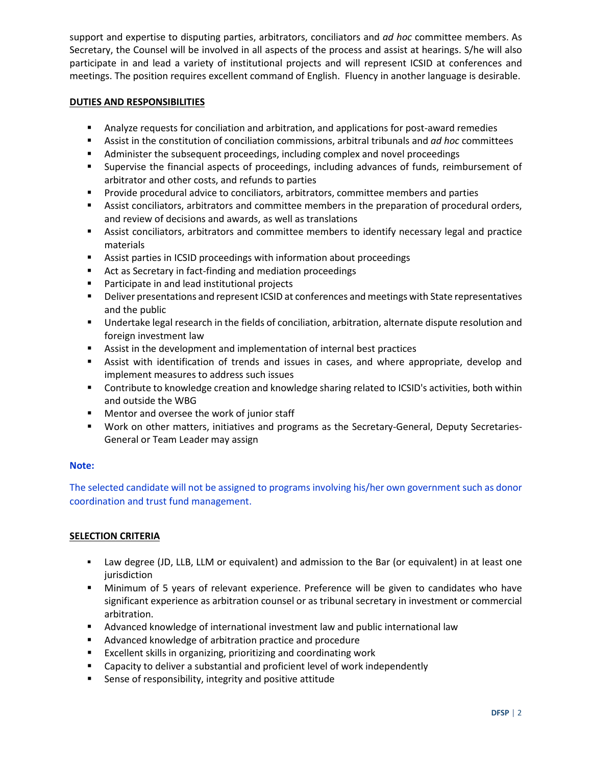support and expertise to disputing parties, arbitrators, conciliators and *ad hoc* committee members. As Secretary, the Counsel will be involved in all aspects of the process and assist at hearings. S/he will also participate in and lead a variety of institutional projects and will represent ICSID at conferences and meetings. The position requires excellent command of English. Fluency in another language is desirable.

### **DUTIES AND RESPONSIBILITIES**

- Analyze requests for conciliation and arbitration, and applications for post-award remedies
- Assist in the constitution of conciliation commissions, arbitral tribunals and *ad hoc* committees
- Administer the subsequent proceedings, including complex and novel proceedings
- Supervise the financial aspects of proceedings, including advances of funds, reimbursement of arbitrator and other costs, and refunds to parties
- **Provide procedural advice to conciliators, arbitrators, committee members and parties**
- Assist conciliators, arbitrators and committee members in the preparation of procedural orders, and review of decisions and awards, as well as translations
- Assist conciliators, arbitrators and committee members to identify necessary legal and practice materials
- Assist parties in ICSID proceedings with information about proceedings
- Act as Secretary in fact-finding and mediation proceedings
- **Participate in and lead institutional projects**
- **Philter 3** Deliver presentations and represent ICSID at conferences and meetings with State representatives and the public
- Undertake legal research in the fields of conciliation, arbitration, alternate dispute resolution and foreign investment law
- Assist in the development and implementation of internal best practices
- Assist with identification of trends and issues in cases, and where appropriate, develop and implement measures to address such issues
- Contribute to knowledge creation and knowledge sharing related to ICSID's activities, both within and outside the WBG
- **Mentor and oversee the work of junior staff**
- Work on other matters, initiatives and programs as the Secretary-General, Deputy Secretaries-General or Team Leader may assign

# **Note:**

The selected candidate will not be assigned to programs involving his/her own government such as donor coordination and trust fund management.

# **SELECTION CRITERIA**

- Law degree (JD, LLB, LLM or equivalent) and admission to the Bar (or equivalent) in at least one jurisdiction
- Minimum of 5 years of relevant experience. Preference will be given to candidates who have significant experience as arbitration counsel or as tribunal secretary in investment or commercial arbitration.
- Advanced knowledge of international investment law and public international law
- **Advanced knowledge of arbitration practice and procedure**
- **Excellent skills in organizing, prioritizing and coordinating work**
- Capacity to deliver a substantial and proficient level of work independently
- Sense of responsibility, integrity and positive attitude